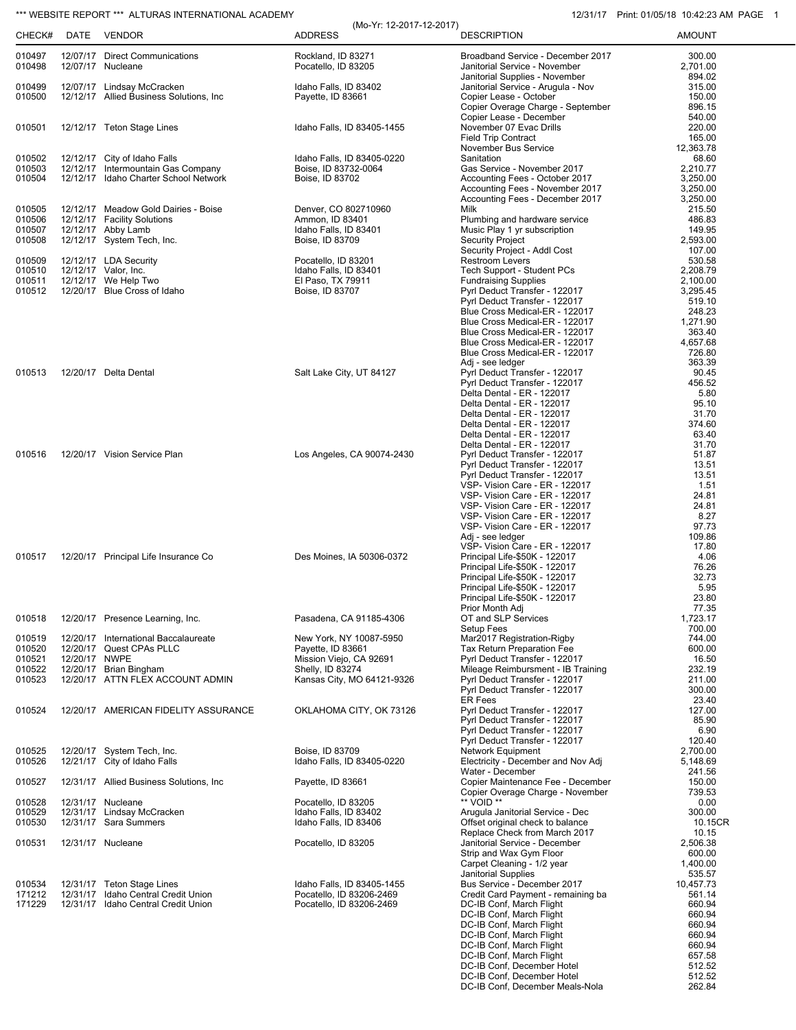## \*\*\* WEBSITE REPORT \*\*\* ALTURAS INTERNATIONAL ACADEMY 12/31/17 Print: 01/05/18 10:42:23 AM PAGE 1

| CHECK#           | DATE          | <b>VENDOR</b>                                                      | (Mo-Yr: 12-2017-12-2017)<br><b>ADDRESS</b>             | <b>DESCRIPTION</b>                                                   | <b>AMOUNT</b>        |
|------------------|---------------|--------------------------------------------------------------------|--------------------------------------------------------|----------------------------------------------------------------------|----------------------|
| 010497<br>010498 |               | 12/07/17 Direct Communications<br>12/07/17 Nucleane                | Rockland. ID 83271<br>Pocatello, ID 83205              | Broadband Service - December 2017<br>Janitorial Service - November   | 300.00<br>2,701.00   |
| 010499           |               | 12/07/17 Lindsay McCracken                                         | Idaho Falls, ID 83402                                  | Janitorial Supplies - November<br>Janitorial Service - Arugula - Nov | 894.02<br>315.00     |
| 010500           |               | 12/12/17 Allied Business Solutions, Inc.                           | Payette, ID 83661                                      | Copier Lease - October                                               | 150.00               |
|                  |               |                                                                    |                                                        | Copier Overage Charge - September                                    | 896.15               |
| 010501           |               | 12/12/17 Teton Stage Lines                                         | Idaho Falls, ID 83405-1455                             | Copier Lease - December<br>November 07 Evac Drills                   | 540.00<br>220.00     |
|                  |               |                                                                    |                                                        | <b>Field Trip Contract</b>                                           | 165.00               |
|                  |               |                                                                    |                                                        | November Bus Service                                                 | 12,363.78            |
| 010502<br>010503 |               | 12/12/17 City of Idaho Falls<br>12/12/17 Intermountain Gas Company | Idaho Falls, ID 83405-0220<br>Boise, ID 83732-0064     | Sanitation<br>Gas Service - November 2017                            | 68.60<br>2,210.77    |
| 010504           |               | 12/12/17 Idaho Charter School Network                              | Boise, ID 83702                                        | Accounting Fees - October 2017                                       | 3,250.00             |
|                  |               |                                                                    |                                                        | Accounting Fees - November 2017                                      | 3,250.00             |
| 010505           |               | 12/12/17 Meadow Gold Dairies - Boise                               | Denver, CO 802710960                                   | Accounting Fees - December 2017<br>Milk                              | 3,250.00<br>215.50   |
| 010506           |               | 12/12/17 Facility Solutions                                        | Ammon, ID 83401                                        | Plumbing and hardware service                                        | 486.83               |
| 010507<br>010508 |               | 12/12/17 Abby Lamb<br>12/12/17 System Tech, Inc.                   | Idaho Falls, ID 83401<br>Boise, ID 83709               | Music Play 1 yr subscription<br><b>Security Project</b>              | 149.95<br>2,593.00   |
|                  |               |                                                                    |                                                        | Security Project - Addl Cost                                         | 107.00               |
| 010509           |               | 12/12/17 LDA Security                                              | Pocatello, ID 83201                                    | Restroom Levers                                                      | 530.58               |
| 010510<br>010511 |               | 12/12/17 Valor, Inc.<br>12/12/17 We Help Two                       | Idaho Falls, ID 83401<br>El Paso, TX 79911             | Tech Support - Student PCs<br><b>Fundraising Supplies</b>            | 2,208.79<br>2,100.00 |
| 010512           |               | 12/20/17 Blue Cross of Idaho                                       | Boise, ID 83707                                        | Pyrl Deduct Transfer - 122017                                        | 3,295.45             |
|                  |               |                                                                    |                                                        | Pyrl Deduct Transfer - 122017                                        | 519.10               |
|                  |               |                                                                    |                                                        | Blue Cross Medical-ER - 122017<br>Blue Cross Medical-ER - 122017     | 248.23<br>1,271.90   |
|                  |               |                                                                    |                                                        | Blue Cross Medical-ER - 122017                                       | 363.40               |
|                  |               |                                                                    |                                                        | Blue Cross Medical-ER - 122017                                       | 4,657.68             |
|                  |               |                                                                    |                                                        | Blue Cross Medical-ER - 122017                                       | 726.80<br>363.39     |
| 010513           |               | 12/20/17 Delta Dental                                              | Salt Lake City, UT 84127                               | Adj - see ledger<br>Pyrl Deduct Transfer - 122017                    | 90.45                |
|                  |               |                                                                    |                                                        | Pyrl Deduct Transfer - 122017                                        | 456.52               |
|                  |               |                                                                    |                                                        | Delta Dental - ER - 122017                                           | 5.80<br>95.10        |
|                  |               |                                                                    |                                                        | Delta Dental - ER - 122017<br>Delta Dental - ER - 122017             | 31.70                |
|                  |               |                                                                    |                                                        | Delta Dental - ER - 122017                                           | 374.60               |
|                  |               |                                                                    |                                                        | Delta Dental - ER - 122017                                           | 63.40                |
| 010516           |               | 12/20/17 Vision Service Plan                                       | Los Angeles, CA 90074-2430                             | Delta Dental - ER - 122017<br>Pyrl Deduct Transfer - 122017          | 31.70<br>51.87       |
|                  |               |                                                                    |                                                        | Pyrl Deduct Transfer - 122017                                        | 13.51                |
|                  |               |                                                                    |                                                        | Pyrl Deduct Transfer - 122017                                        | 13.51                |
|                  |               |                                                                    |                                                        | VSP- Vision Care - ER - 122017<br>VSP- Vision Care - ER - 122017     | 1.51<br>24.81        |
|                  |               |                                                                    |                                                        | VSP- Vision Care - ER - 122017                                       | 24.81                |
|                  |               |                                                                    |                                                        | VSP- Vision Care - ER - 122017                                       | 8.27                 |
|                  |               |                                                                    |                                                        | VSP- Vision Care - ER - 122017<br>Adj - see ledger                   | 97.73<br>109.86      |
|                  |               |                                                                    |                                                        | VSP- Vision Care - ER - 122017                                       | 17.80                |
| 010517           |               | 12/20/17 Principal Life Insurance Co                               | Des Moines, IA 50306-0372                              | Principal Life-\$50K - 122017                                        | 4.06                 |
|                  |               |                                                                    |                                                        | Principal Life-\$50K - 122017<br>Principal Life-\$50K - 122017       | 76.26<br>32.73       |
|                  |               |                                                                    |                                                        | Principal Life-\$50K - 122017                                        | 5.95                 |
|                  |               |                                                                    |                                                        | Principal Life-\$50K - 122017<br>Prior Month Adj                     | 23.80<br>77.35       |
| 010518           |               | 12/20/17 Presence Learning, Inc.                                   | Pasadena, CA 91185-4306                                | OT and SLP Services                                                  | 1,723.17             |
|                  |               |                                                                    |                                                        | Setup Fees                                                           | 700.00               |
| 010519<br>010520 |               | 12/20/17 International Baccalaureate<br>12/20/17 Quest CPAs PLLC   | New York, NY 10087-5950<br>Payette, ID 83661           | Mar2017 Registration-Rigby<br>Tax Return Preparation Fee             | 744.00<br>600.00     |
| 010521           | 12/20/17 NWPE |                                                                    | Mission Viejo, CA 92691                                | Pyrl Deduct Transfer - 122017                                        | 16.50                |
| 010522           |               | 12/20/17 Brian Bingham                                             | Shelly, ID 83274                                       | Mileage Reimbursment - IB Training                                   | 232.19               |
| 010523           |               | 12/20/17 ATTN FLEX ACCOUNT ADMIN                                   | Kansas City, MO 64121-9326                             | Pyrl Deduct Transfer - 122017<br>Pyrl Deduct Transfer - 122017       | 211.00<br>300.00     |
|                  |               |                                                                    |                                                        | <b>ER Fees</b>                                                       | 23.40                |
| 010524           |               | 12/20/17 AMERICAN FIDELITY ASSURANCE                               | OKLAHOMA CITY, OK 73126                                | Pyrl Deduct Transfer - 122017                                        | 127.00               |
|                  |               |                                                                    |                                                        | Pyrl Deduct Transfer - 122017<br>Pyrl Deduct Transfer - 122017       | 85.90<br>6.90        |
|                  |               |                                                                    |                                                        | Pyrl Deduct Transfer - 122017                                        | 120.40               |
| 010525           |               | 12/20/17 System Tech, Inc.                                         | Boise, ID 83709                                        | Network Equipment                                                    | 2,700.00             |
| 010526           |               | 12/21/17 City of Idaho Falls                                       | Idaho Falls, ID 83405-0220                             | Electricity - December and Nov Adj<br>Water - December               | 5,148.69<br>241.56   |
| 010527           |               | 12/31/17 Allied Business Solutions, Inc.                           | Payette, ID 83661                                      | Copier Maintenance Fee - December                                    | 150.00               |
|                  |               |                                                                    |                                                        | Copier Overage Charge - November                                     | 739.53               |
| 010528<br>010529 |               | 12/31/17 Nucleane<br>12/31/17 Lindsay McCracken                    | Pocatello, ID 83205<br>Idaho Falls, ID 83402           | ** VOID **<br>Arugula Janitorial Service - Dec                       | 0.00<br>300.00       |
| 010530           |               | 12/31/17 Sara Summers                                              | Idaho Falls, ID 83406                                  | Offset original check to balance                                     | 10.15CR              |
| 010531           |               |                                                                    |                                                        | Replace Check from March 2017                                        | 10.15                |
|                  |               | 12/31/17 Nucleane                                                  | Pocatello, ID 83205                                    | Janitorial Service - December<br>Strip and Wax Gym Floor             | 2,506.38<br>600.00   |
|                  |               |                                                                    |                                                        | Carpet Cleaning - 1/2 year                                           | 1,400.00             |
|                  |               |                                                                    |                                                        | Janitorial Supplies                                                  | 535.57               |
| 010534<br>171212 |               | 12/31/17 Teton Stage Lines<br>12/31/17 Idaho Central Credit Union  | Idaho Falls, ID 83405-1455<br>Pocatello, ID 83206-2469 | Bus Service - December 2017<br>Credit Card Payment - remaining ba    | 10,457.73<br>561.14  |
| 171229           |               | 12/31/17 Idaho Central Credit Union                                | Pocatello, ID 83206-2469                               | DC-IB Conf, March Flight                                             | 660.94               |
|                  |               |                                                                    |                                                        | DC-IB Conf, March Flight                                             | 660.94               |
|                  |               |                                                                    |                                                        | DC-IB Conf, March Flight<br>DC-IB Conf, March Flight                 | 660.94<br>660.94     |
|                  |               |                                                                    |                                                        | DC-IB Conf, March Flight                                             | 660.94               |
|                  |               |                                                                    |                                                        | DC-IB Conf, March Flight                                             | 657.58               |
|                  |               |                                                                    |                                                        | DC-IB Conf, December Hotel<br>DC-IB Conf, December Hotel             | 512.52<br>512.52     |
|                  |               |                                                                    |                                                        | DC-IB Conf, December Meals-Nola                                      | 262.84               |